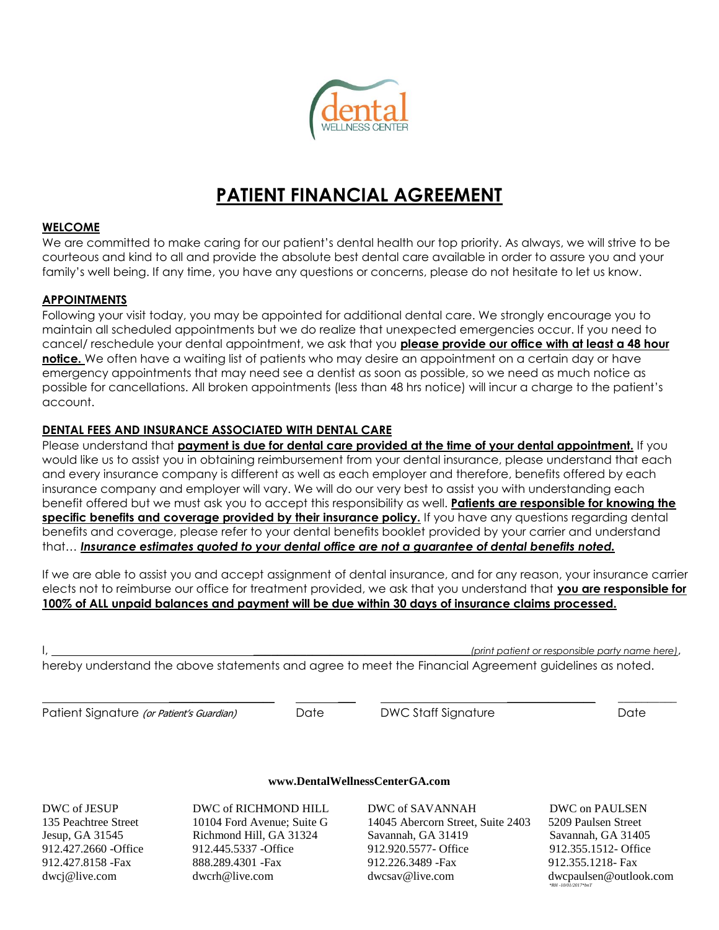

# **PATIENT FINANCIAL AGREEMENT**

#### **WELCOME**

We are committed to make caring for our patient's dental health our top priority. As always, we will strive to be courteous and kind to all and provide the absolute best dental care available in order to assure you and your family's well being. If any time, you have any questions or concerns, please do not hesitate to let us know.

### **APPOINTMENTS**

Following your visit today, you may be appointed for additional dental care. We strongly encourage you to maintain all scheduled appointments but we do realize that unexpected emergencies occur. If you need to cancel/ reschedule your dental appointment, we ask that you **please provide our office with at least a 48 hour notice.** We often have a waiting list of patients who may desire an appointment on a certain day or have emergency appointments that may need see a dentist as soon as possible, so we need as much notice as possible for cancellations. All broken appointments (less than 48 hrs notice) will incur a charge to the patient's account.

### **DENTAL FEES AND INSURANCE ASSOCIATED WITH DENTAL CARE**

Please understand that **payment is due for dental care provided at the time of your dental appointment**. If you would like us to assist you in obtaining reimbursement from your dental insurance, please understand that each and every insurance company is different as well as each employer and therefore, benefits offered by each insurance company and employer will vary. We will do our very best to assist you with understanding each benefit offered but we must ask you to accept this responsibility as well. **Patients are responsible for knowing the specific benefits and coverage provided by their insurance policy.** If you have any questions regarding dental benefits and coverage, please refer to your dental benefits booklet provided by your carrier and understand that… *Insurance estimates quoted to your dental office are not a guarantee of dental benefits noted.*

If we are able to assist you and accept assignment of dental insurance, and for any reason, your insurance carrier elects not to reimburse our office for treatment provided, we ask that you understand that **you are responsible for 100% of ALL unpaid balances and payment will be due within 30 days of insurance claims processed.**

I, \_\_\_\_\_\_\_\_\_\_\_\_\_\_\_\_\_\_\_\_\_\_\_\_\_\_\_\_\_\_\_\_\_\_\_\_\_*(print patient or responsible party name here)*,

hereby understand the above statements and agree to meet the Financial Agreement guidelines as noted.

Patient Signature (or Patient's Guardian) Date DWC Staff Signature Date Date

\_\_\_\_\_\_\_\_\_\_\_\_\_\_\_\_\_\_ \_\_\_ \_\_\_\_\_\_\_\_\_\_\_\_\_\_\_ \_\_\_\_\_\_\_\_\_\_

#### **[www.DentalWellnessCenterGA.com](http://www.dentalwellnesscenterga.com/)**

DWC of JESUP DWC of RICHMOND HILL DWC of SAVANNAH DWC on PAULSEN

135 Peachtree Street 10104 Ford Avenue; Suite G 14045 Abercorn Street, Suite 2403 5209 Paulsen Street Jesup, GA 31545 Richmond Hill, GA 31324 Savannah, GA 31419 Savannah, GA 31405 912.427.2660 -Office 912.445.5337 -Office 912.920.5577- Office 912.355.1512- Office 912.427.8158 -Fax 888.289.4301 -Fax 912.226.3489 -Fax 912.355.1218- Fax [dwcj@live.com](mailto:dwcj@live.com) dwcrh@live.com [dwcsav@live.com](mailto:dwcsav@live.com) dwcpaulsen@outlook.com  *\*RH -10/01/2017\*bnT*